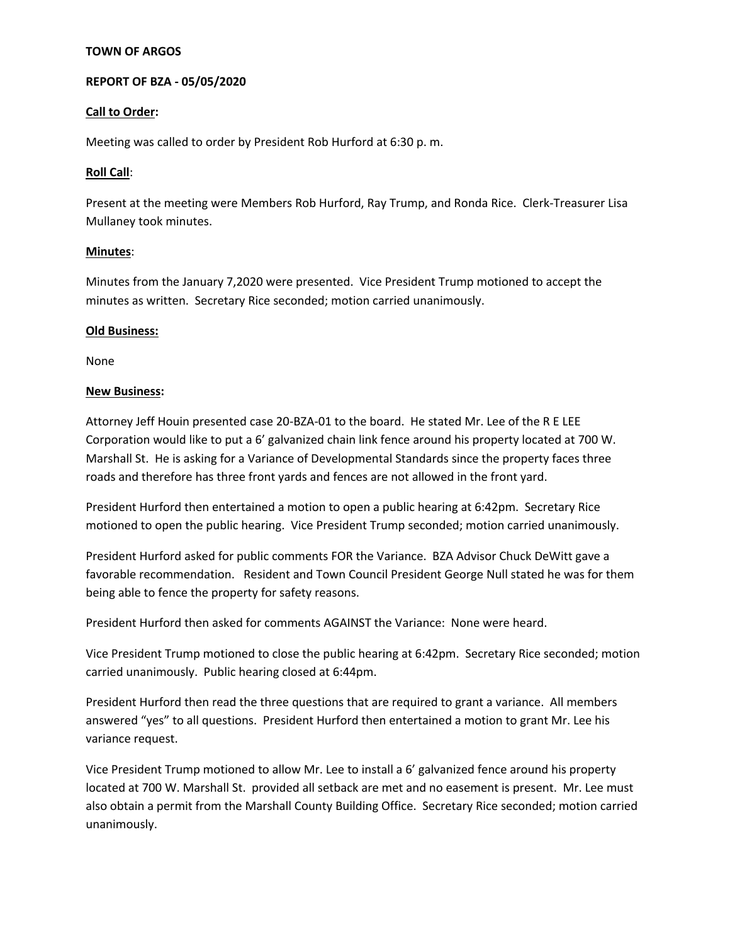## **TOWN OF ARGOS**

## **REPORT OF BZA - 05/05/2020**

### **Call to Order:**

Meeting was called to order by President Rob Hurford at 6:30 p. m.

### **Roll Call**:

Present at the meeting were Members Rob Hurford, Ray Trump, and Ronda Rice. Clerk-Treasurer Lisa Mullaney took minutes.

### **Minutes**:

Minutes from the January 7,2020 were presented. Vice President Trump motioned to accept the minutes as written. Secretary Rice seconded; motion carried unanimously.

### **Old Business:**

None

### **New Business:**

Attorney Jeff Houin presented case 20-BZA-01 to the board. He stated Mr. Lee of the R E LEE Corporation would like to put a 6' galvanized chain link fence around his property located at 700 W. Marshall St. He is asking for a Variance of Developmental Standards since the property faces three roads and therefore has three front yards and fences are not allowed in the front yard.

President Hurford then entertained a motion to open a public hearing at 6:42pm. Secretary Rice motioned to open the public hearing. Vice President Trump seconded; motion carried unanimously.

President Hurford asked for public comments FOR the Variance. BZA Advisor Chuck DeWitt gave a favorable recommendation. Resident and Town Council President George Null stated he was for them being able to fence the property for safety reasons.

President Hurford then asked for comments AGAINST the Variance: None were heard.

Vice President Trump motioned to close the public hearing at 6:42pm. Secretary Rice seconded; motion carried unanimously. Public hearing closed at 6:44pm.

President Hurford then read the three questions that are required to grant a variance. All members answered "yes" to all questions. President Hurford then entertained a motion to grant Mr. Lee his variance request.

Vice President Trump motioned to allow Mr. Lee to install a 6' galvanized fence around his property located at 700 W. Marshall St. provided all setback are met and no easement is present. Mr. Lee must also obtain a permit from the Marshall County Building Office. Secretary Rice seconded; motion carried unanimously.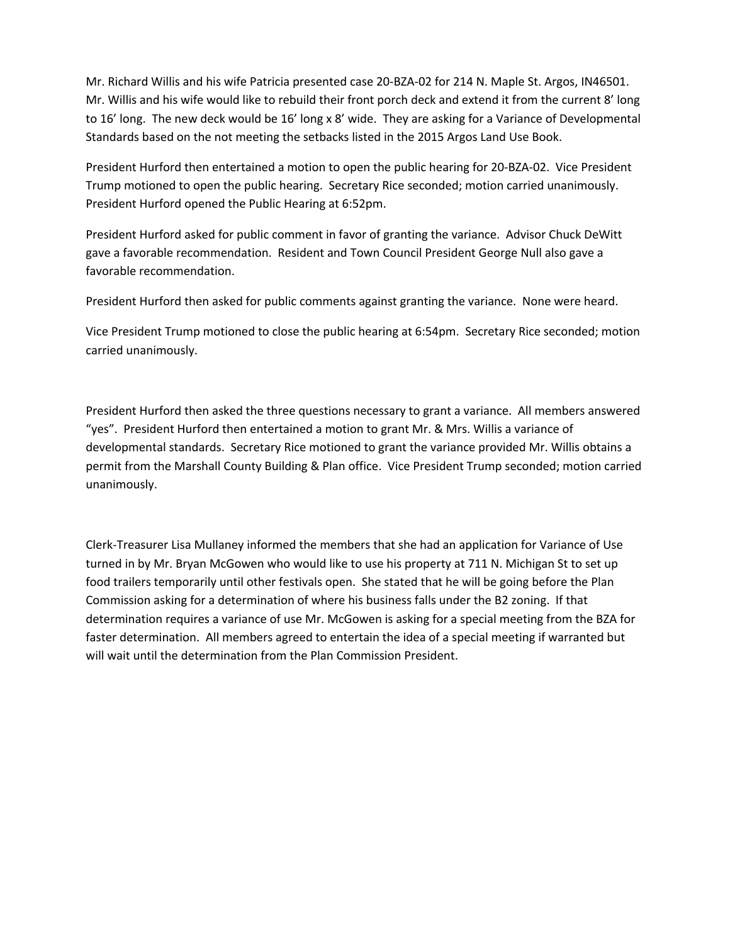Mr. Richard Willis and his wife Patricia presented case 20-BZA-02 for 214 N. Maple St. Argos, IN46501. Mr. Willis and his wife would like to rebuild their front porch deck and extend it from the current 8' long to 16' long. The new deck would be 16' long x 8' wide. They are asking for a Variance of Developmental Standards based on the not meeting the setbacks listed in the 2015 Argos Land Use Book.

President Hurford then entertained a motion to open the public hearing for 20-BZA-02. Vice President Trump motioned to open the public hearing. Secretary Rice seconded; motion carried unanimously. President Hurford opened the Public Hearing at 6:52pm.

President Hurford asked for public comment in favor of granting the variance. Advisor Chuck DeWitt gave a favorable recommendation. Resident and Town Council President George Null also gave a favorable recommendation.

President Hurford then asked for public comments against granting the variance. None were heard.

Vice President Trump motioned to close the public hearing at 6:54pm. Secretary Rice seconded; motion carried unanimously.

President Hurford then asked the three questions necessary to grant a variance. All members answered "yes". President Hurford then entertained a motion to grant Mr. & Mrs. Willis a variance of developmental standards. Secretary Rice motioned to grant the variance provided Mr. Willis obtains a permit from the Marshall County Building & Plan office. Vice President Trump seconded; motion carried unanimously.

Clerk-Treasurer Lisa Mullaney informed the members that she had an application for Variance of Use turned in by Mr. Bryan McGowen who would like to use his property at 711 N. Michigan St to set up food trailers temporarily until other festivals open. She stated that he will be going before the Plan Commission asking for a determination of where his business falls under the B2 zoning. If that determination requires a variance of use Mr. McGowen is asking for a special meeting from the BZA for faster determination. All members agreed to entertain the idea of a special meeting if warranted but will wait until the determination from the Plan Commission President.